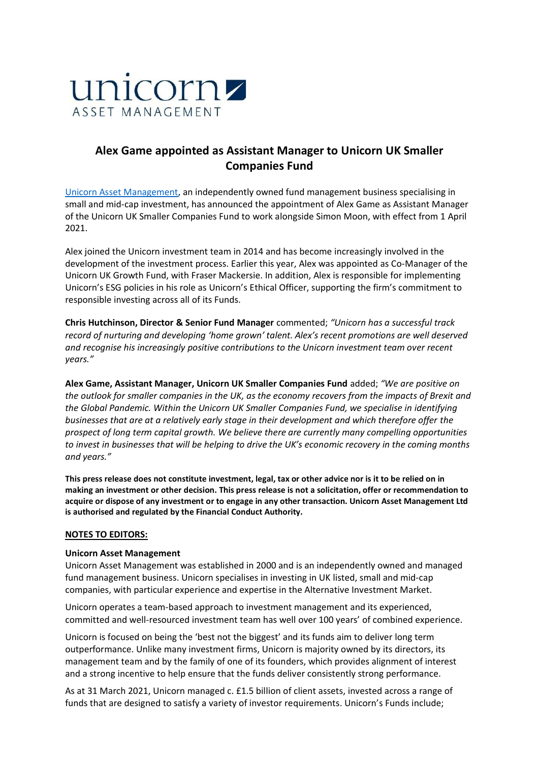

# **Alex Game appointed as Assistant Manager to Unicorn UK Smaller Companies Fund**

Unicorn [Asset Management,](https://www.unicornam.com/) an independently owned fund management business specialising in small and mid-cap investment, has announced the appointment of Alex Game as Assistant Manager of the Unicorn UK Smaller Companies Fund to work alongside Simon Moon, with effect from 1 April 2021.

Alex joined the Unicorn investment team in 2014 and has become increasingly involved in the development of the investment process. Earlier this year, Alex was appointed as Co-Manager of the Unicorn UK Growth Fund, with Fraser Mackersie. In addition, Alex is responsible for implementing Unicorn's ESG policies in his role as Unicorn's Ethical Officer, supporting the firm's commitment to responsible investing across all of its Funds.

**Chris Hutchinson, Director & Senior Fund Manager** commented; *"Unicorn has a successful track record of nurturing and developing 'home grown' talent. Alex's recent promotions are well deserved and recognise his increasingly positive contributions to the Unicorn investment team over recent years."*

**Alex Game, Assistant Manager, Unicorn UK Smaller Companies Fund** added; *"We are positive on the outlook for smaller companies in the UK, as the economy recovers from the impacts of Brexit and the Global Pandemic. Within the Unicorn UK Smaller Companies Fund, we specialise in identifying businesses that are at a relatively early stage in their development and which therefore offer the prospect of long term capital growth. We believe there are currently many compelling opportunities to invest in businesses that will be helping to drive the UK's economic recovery in the coming months and years."*

**This press release does not constitute investment, legal, tax or other advice nor is it to be relied on in making an investment or other decision. This press release is not a solicitation, offer or recommendation to acquire or dispose of any investment or to engage in any other transaction. Unicorn Asset Management Ltd is authorised and regulated by the Financial Conduct Authority.**

#### **NOTES TO EDITORS:**

#### **Unicorn Asset Management**

Unicorn Asset Management was established in 2000 and is an independently owned and managed fund management business. Unicorn specialises in investing in UK listed, small and mid-cap companies, with particular experience and expertise in the Alternative Investment Market.

Unicorn operates a team-based approach to investment management and its experienced, committed and well-resourced investment team has well over 100 years' of combined experience.

Unicorn is focused on being the 'best not the biggest' and its funds aim to deliver long term outperformance. Unlike many investment firms, Unicorn is majority owned by its directors, its management team and by the family of one of its founders, which provides alignment of interest and a strong incentive to help ensure that the funds deliver consistently strong performance.

As at 31 March 2021, Unicorn managed c. £1.5 billion of client assets, invested across a range of funds that are designed to satisfy a variety of investor requirements. Unicorn's Funds include;